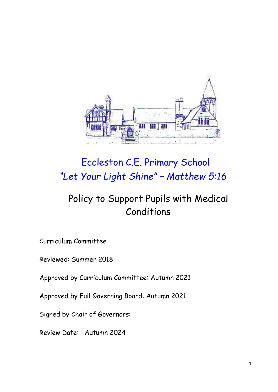

# Eccleston C.E. Primary School  *"Let Your Light Shine" – Matthew 5:16*

# Policy to Support Pupils with Medical Conditions

Curriculum Committee

Reviewed: Summer 2018

Approved by Curriculum Committee: Autumn 2021

Approved by Full Governing Board: Autumn 2021

Signed by Chair of Governors:

Review Date: Autumn 2024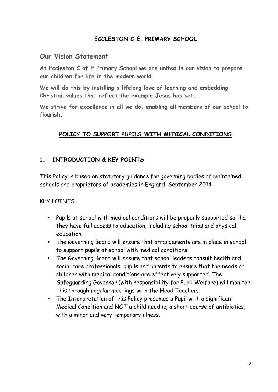#### **ECCLESTON C.E. PRIMARY SCHOOL**

#### **Our Vision Statement**

**At Eccleston C of E Primary School we are united in our vision to prepare our children for life in the modern world.**

**We will do this by instilling a lifelong love of learning and embedding Christian values that reflect the example Jesus has set.**

**We strive for excellence in all we do, enabling all members of our school to flourish.**

#### **POLICY TO SUPPORT PUPILS WITH MEDICAL CONDITIONS**

#### **1. INTRODUCTION & KEY POINTS**

This Policy is based on statutory guidance for governing bodies of maintained schools and proprietors of academies in England, September 2014

#### KEY POINTS

- Pupils at school with medical conditions will be properly supported so that they have full access to education, including school trips and physical education.
- The Governing Board will ensure that arrangements are in place in school to support pupils at school with medical conditions.
- The Governing Board will ensure that school leaders consult health and social care professionals, pupils and parents to ensure that the needs of children with medical conditions are effectively supported. The Safeguarding Governor (with responsibility for Pupil Welfare) will monitor this through regular meetings with the Head Teacher.
- The Interpretation of this Policy presumes a Pupil with a significant Medical Condition and NOT a child needing a short course of antibiotics, with a minor and very temporary illness.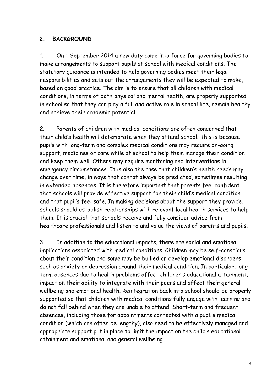#### **2. BACKGROUND**

1. On 1 September 2014 a new duty came into force for governing bodies to make arrangements to support pupils at school with medical conditions. The statutory guidance is intended to help governing bodies meet their legal responsibilities and sets out the arrangements they will be expected to make, based on good practice. The aim is to ensure that all children with medical conditions, in terms of both physical and mental health, are properly supported in school so that they can play a full and active role in school life, remain healthy and achieve their academic potential.

2. Parents of children with medical conditions are often concerned that their child's health will deteriorate when they attend school. This is because pupils with long-term and complex medical conditions may require on-going support, medicines or care while at school to help them manage their condition and keep them well. Others may require monitoring and interventions in emergency circumstances. It is also the case that children's health needs may change over time, in ways that cannot always be predicted, sometimes resulting in extended absences. It is therefore important that parents feel confident that schools will provide effective support for their child's medical condition and that pupil's feel safe. In making decisions about the support they provide, schools should establish relationships with relevant local health services to help them. It is crucial that schools receive and fully consider advice from healthcare professionals and listen to and value the views of parents and pupils.

3. In addition to the educational impacts, there are social and emotional implications associated with medical conditions. Children may be self-conscious about their condition and some may be bullied or develop emotional disorders such as anxiety or depression around their medical condition. In particular, longterm absences due to health problems affect children's educational attainment, impact on their ability to integrate with their peers and affect their general wellbeing and emotional health. Reintegration back into school should be properly supported so that children with medical conditions fully engage with learning and do not fall behind when they are unable to attend. Short-term and frequent absences, including those for appointments connected with a pupil's medical condition (which can often be lengthy), also need to be effectively managed and appropriate support put in place to limit the impact on the child's educational attainment and emotional and general wellbeing.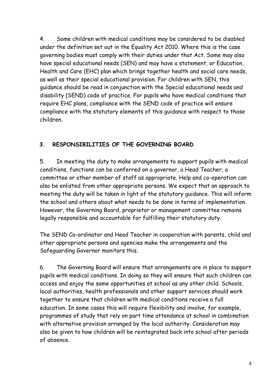4. Some children with medical conditions may be considered to be disabled under the definition set out in the Equality Act 2010. Where this is the case governing bodies must comply with their duties under that Act. Some may also have special educational needs (SEN) and may have a statement, or Education, Health and Care (EHC) plan which brings together health and social care needs, as well as their special educational provision. For children with SEN, this guidance should be read in conjunction with the Special educational needs and disability (SEND) code of practice. For pupils who have medical conditions that require EHC plans, compliance with the SEND code of practice will ensure compliance with the statutory elements of this guidance with respect to those children.

## **3. RESPONSIBILITIES OF THE GOVERNING BOARD**

5. In meeting the duty to make arrangements to support pupils with medical conditions, functions can be conferred on a governor, a Head Teacher, a committee or other member of staff as appropriate. Help and co-operation can also be enlisted from other appropriate persons. We expect that an approach to meeting the duty will be taken in light of the statutory guidance. This will inform the school and others about what needs to be done in terms of implementation. However, the Governing Board, proprietor or management committee remains legally responsible and accountable for fulfilling their statutory duty.

The SEND Co-ordinator and Head Teacher in cooperation with parents, child and other appropriate persons and agencies make the arrangements and the Safeguarding Governor monitors this.

6. The Governing Board will ensure that arrangements are in place to support pupils with medical conditions. In doing so they will ensure that such children can access and enjoy the same opportunities at school as any other child. Schools, local authorities, health professionals and other support services should work together to ensure that children with medical conditions receive a full education. In some cases this will require flexibility and involve, for example, programmes of study that rely on part time attendance at school in combination with alternative provision arranged by the local authority. Consideration may also be given to how children will be reintegrated back into school after periods of absence.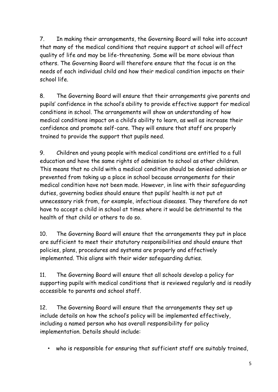7. In making their arrangements, the Governing Board will take into account that many of the medical conditions that require support at school will affect quality of life and may be life-threatening. Some will be more obvious than others. The Governing Board will therefore ensure that the focus is on the needs of each individual child and how their medical condition impacts on their school life.

8. The Governing Board will ensure that their arrangements give parents and pupils' confidence in the school's ability to provide effective support for medical conditions in school. The arrangements will show an understanding of how medical conditions impact on a child's ability to learn, as well as increase their confidence and promote self-care. They will ensure that staff are properly trained to provide the support that pupils need.

9. Children and young people with medical conditions are entitled to a full education and have the same rights of admission to school as other children. This means that no child with a medical condition should be denied admission or prevented from taking up a place in school because arrangements for their medical condition have not been made. However, in line with their safeguarding duties, governing bodies should ensure that pupils' health is not put at unnecessary risk from, for example, infectious diseases. They therefore do not have to accept a child in school at times where it would be detrimental to the health of that child or others to do so.

10. The Governing Board will ensure that the arrangements they put in place are sufficient to meet their statutory responsibilities and should ensure that policies, plans, procedures and systems are properly and effectively implemented. This aligns with their wider safeguarding duties.

11. The Governing Board will ensure that all schools develop a policy for supporting pupils with medical conditions that is reviewed regularly and is readily accessible to parents and school staff.

12. The Governing Board will ensure that the arrangements they set up include details on how the school's policy will be implemented effectively, including a named person who has overall responsibility for policy implementation. Details should include:

• who is responsible for ensuring that sufficient staff are suitably trained,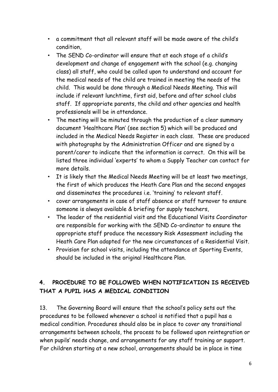- a commitment that all relevant staff will be made aware of the child's condition,
- The SEND Co-ordinator will ensure that at each stage of a child's development and change of engagement with the school (e.g. changing class) all staff, who could be called upon to understand and account for the medical needs of the child are trained in meeting the needs of the child. This would be done through a Medical Needs Meeting. This will include if relevant lunchtime, first aid, before and after school clubs staff. If appropriate parents, the child and other agencies and health professionals will be in attendance.
- The meeting will be minuted through the production of a clear summary document 'Healthcare Plan' (see section 5) which will be produced and included in the Medical Needs Register in each class. These are produced with photographs by the Administration Officer and are signed by a parent/carer to indicate that the information is correct. On this will be listed three individual 'experts' to whom a Supply Teacher can contact for more details.
- It is likely that the Medical Needs Meeting will be at least two meetings, the first of which produces the Heath Care Plan and the second engages and disseminates the procedures i.e. 'training' to relevant staff.
- cover arrangements in case of staff absence or staff turnover to ensure someone is always available & briefing for supply teachers,
- The leader of the residential visit and the Educational Visits Coordinator are responsible for working with the SEND Co-ordinator to ensure the appropriate staff produce the necessary Risk Assessment including the Heath Care Plan adapted for the new circumstances of a Residential Visit.
- Provision for school visits, including the attendance at Sporting Events, should be included in the original Healthcare Plan.

## **4. PROCEDURE TO BE FOLLOWED WHEN NOTIFICATION IS RECEIVED THAT A PUPIL HAS A MEDICAL CONDITION**

13. The Governing Board will ensure that the school's policy sets out the procedures to be followed whenever a school is notified that a pupil has a medical condition. Procedures should also be in place to cover any transitional arrangements between schools, the process to be followed upon reintegration or when pupils' needs change, and arrangements for any staff training or support. For children starting at a new school, arrangements should be in place in time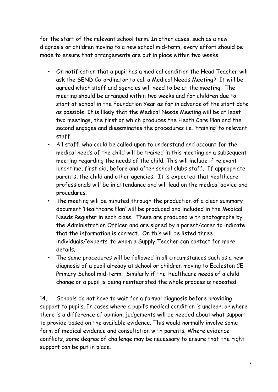for the start of the relevant school term. In other cases, such as a new diagnosis or children moving to a new school mid-term, every effort should be made to ensure that arrangements are put in place within two weeks.

- On notification that a pupil has a medical condition the Head Teacher will ask the SEND Co-ordinator to call a Medical Needs Meeting? It will be agreed which staff and agencies will need to be at the meeting. The meeting should be arranged within two weeks and for children due to start at school in the Foundation Year as far in advance of the start date as possible. It is likely that the Medical Needs Meeting will be at least two meetings, the first of which produces the Heath Care Plan and the second engages and disseminates the procedures i.e. 'training' to relevant staff.
- All staff, who could be called upon to understand and account for the medical needs of the child will be trained in this meeting or a subsequent meeting regarding the needs of the child. This will include if relevant lunchtime, first aid, before and after school clubs staff. If appropriate parents, the child and other agencies. It is expected that healthcare professionals will be in attendance and will lead on the medical advice and procedures.
- The meeting will be minuted through the production of a clear summary document 'Healthcare Plan' will be produced and included in the Medical Needs Register in each class. These are produced with photographs by the Administration Officer and are signed by a parent/carer to indicate that the information is correct. On this will be listed three individuals/'experts' to whom a Supply Teacher can contact for more details.
- The same procedures will be followed in all circumstances such as a new diagnosis of a pupil already at school or children moving to Eccleston CE Primary School mid-term. Similarly if the Healthcare needs of a child change or a pupil is being reintegrated the whole process is repeated.

14. Schools do not have to wait for a formal diagnosis before providing support to pupils. In cases where a pupil's medical condition is unclear, or where there is a difference of opinion, judgements will be needed about what support to provide based on the available evidence. This would normally involve some form of medical evidence and consultation with parents. Where evidence conflicts, some degree of challenge may be necessary to ensure that the right support can be put in place.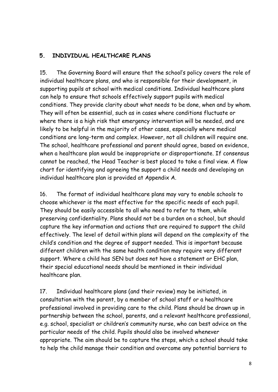#### **5. INDIVIDUAL HEALTHCARE PLANS**

15. The Governing Board will ensure that the school's policy covers the role of individual healthcare plans, and who is responsible for their development, in supporting pupils at school with medical conditions. Individual healthcare plans can help to ensure that schools effectively support pupils with medical conditions. They provide clarity about what needs to be done, when and by whom. They will often be essential, such as in cases where conditions fluctuate or where there is a high risk that emergency intervention will be needed, and are likely to be helpful in the majority of other cases, especially where medical conditions are long-term and complex. However, not all children will require one. The school, healthcare professional and parent should agree, based on evidence, when a healthcare plan would be inappropriate or disproportionate. If consensus cannot be reached, the Head Teacher is best placed to take a final view. A flow chart for identifying and agreeing the support a child needs and developing an individual healthcare plan is provided at Appendix A.

16. The format of individual healthcare plans may vary to enable schools to choose whichever is the most effective for the specific needs of each pupil. They should be easily accessible to all who need to refer to them, while preserving confidentiality. Plans should not be a burden on a school, but should capture the key information and actions that are required to support the child effectively. The level of detail within plans will depend on the complexity of the child's condition and the degree of support needed. This is important because different children with the same health condition may require very different support. Where a child has SEN but does not have a statement or EHC plan, their special educational needs should be mentioned in their individual healthcare plan.

17. Individual healthcare plans (and their review) may be initiated, in consultation with the parent, by a member of school staff or a healthcare professional involved in providing care to the child. Plans should be drawn up in partnership between the school, parents, and a relevant healthcare professional, e.g. school, specialist or children's community nurse, who can best advice on the particular needs of the child. Pupils should also be involved whenever appropriate. The aim should be to capture the steps, which a school should take to help the child manage their condition and overcome any potential barriers to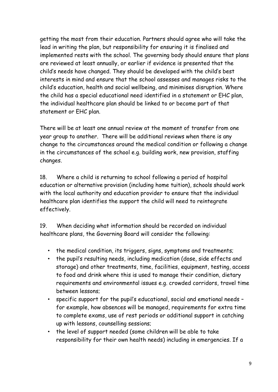getting the most from their education. Partners should agree who will take the lead in writing the plan, but responsibility for ensuring it is finalised and implemented rests with the school. The governing body should ensure that plans are reviewed at least annually, or earlier if evidence is presented that the child's needs have changed. They should be developed with the child's best interests in mind and ensure that the school assesses and manages risks to the child's education, health and social wellbeing, and minimises disruption. Where the child has a special educational need identified in a statement or EHC plan, the individual healthcare plan should be linked to or become part of that statement or EHC plan.

There will be at least one annual review at the moment of transfer from one year group to another. There will be additional reviews when there is any change to the circumstances around the medical condition or following a change in the circumstances of the school e.g. building work, new provision, staffing changes.

18. Where a child is returning to school following a period of hospital education or alternative provision (including home tuition), schools should work with the local authority and education provider to ensure that the individual healthcare plan identifies the support the child will need to reintegrate effectively.

19. When deciding what information should be recorded on individual healthcare plans, the Governing Board will consider the following:

- the medical condition, its triggers, signs, symptoms and treatments;
- the pupil's resulting needs, including medication (dose, side effects and storage) and other treatments, time, facilities, equipment, testing, access to food and drink where this is used to manage their condition, dietary requirements and environmental issues e.g. crowded corridors, travel time between lessons;
- specific support for the pupil's educational, social and emotional needs for example, how absences will be managed, requirements for extra time to complete exams, use of rest periods or additional support in catching up with lessons, counselling sessions;
- the level of support needed (some children will be able to take responsibility for their own health needs) including in emergencies. If a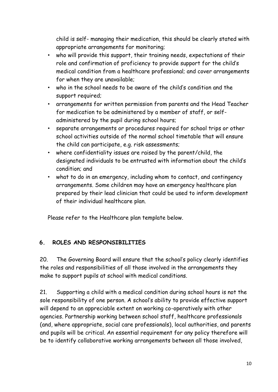child is self- managing their medication, this should be clearly stated with appropriate arrangements for monitoring;

- who will provide this support, their training needs, expectations of their role and confirmation of proficiency to provide support for the child's medical condition from a healthcare professional; and cover arrangements for when they are unavailable;
- who in the school needs to be aware of the child's condition and the support required;
- arrangements for written permission from parents and the Head Teacher for medication to be administered by a member of staff, or selfadministered by the pupil during school hours;
- separate arrangements or procedures required for school trips or other school activities outside of the normal school timetable that will ensure the child can participate, e.g. risk assessments;
- where confidentiality issues are raised by the parent/child, the designated individuals to be entrusted with information about the child's condition; and
- what to do in an emergency, including whom to contact, and contingency arrangements. Some children may have an emergency healthcare plan prepared by their lead clinician that could be used to inform development of their individual healthcare plan.

Please refer to the Healthcare plan template below.

#### **6. ROLES AND RESPONSIBILITIES**

20. The Governing Board will ensure that the school's policy clearly identifies the roles and responsibilities of all those involved in the arrangements they make to support pupils at school with medical conditions.

21. Supporting a child with a medical condition during school hours is not the sole responsibility of one person. A school's ability to provide effective support will depend to an appreciable extent on working co-operatively with other agencies. Partnership working between school staff, healthcare professionals (and, where appropriate, social care professionals), local authorities, and parents and pupils will be critical. An essential requirement for any policy therefore will be to identify collaborative working arrangements between all those involved,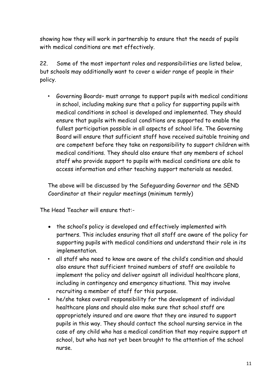showing how they will work in partnership to ensure that the needs of pupils with medical conditions are met effectively.

22. Some of the most important roles and responsibilities are listed below, but schools may additionally want to cover a wider range of people in their policy.

• Governing Boards– must arrange to support pupils with medical conditions in school, including making sure that a policy for supporting pupils with medical conditions in school is developed and implemented. They should ensure that pupils with medical conditions are supported to enable the fullest participation possible in all aspects of school life. The Governing Board will ensure that sufficient staff have received suitable training and are competent before they take on responsibility to support children with medical conditions. They should also ensure that any members of school staff who provide support to pupils with medical conditions are able to access information and other teaching support materials as needed.

The above will be discussed by the Safeguarding Governor and the SEND Coordinator at their regular meetings (minimum termly)

The Head Teacher will ensure that:-

- the school's policy is developed and effectively implemented with partners. This includes ensuring that all staff are aware of the policy for supporting pupils with medical conditions and understand their role in its implementation.
- all staff who need to know are aware of the child's condition and should also ensure that sufficient trained numbers of staff are available to implement the policy and deliver against all individual healthcare plans, including in contingency and emergency situations. This may involve recruiting a member of staff for this purpose.
- he/she takes overall responsibility for the development of individual healthcare plans and should also make sure that school staff are appropriately insured and are aware that they are insured to support pupils in this way. They should contact the school nursing service in the case of any child who has a medical condition that may require support at school, but who has not yet been brought to the attention of the school nurse.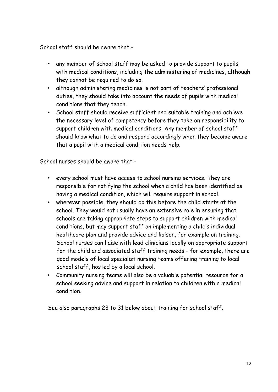School staff should be aware that:-

- any member of school staff may be asked to provide support to pupils with medical conditions, including the administering of medicines, although they cannot be required to do so.
- although administering medicines is not part of teachers' professional duties, they should take into account the needs of pupils with medical conditions that they teach.
- School staff should receive sufficient and suitable training and achieve the necessary level of competency before they take on responsibility to support children with medical conditions. Any member of school staff should know what to do and respond accordingly when they become aware that a pupil with a medical condition needs help.

School nurses should be aware that:-

- every school must have access to school nursing services. They are responsible for notifying the school when a child has been identified as having a medical condition, which will require support in school.
- wherever possible, they should do this before the child starts at the school. They would not usually have an extensive role in ensuring that schools are taking appropriate steps to support children with medical conditions, but may support staff on implementing a child's individual healthcare plan and provide advice and liaison, for example on training. School nurses can liaise with lead clinicians locally on appropriate support for the child and associated staff training needs - for example, there are good models of local specialist nursing teams offering training to local school staff, hosted by a local school.
- Community nursing teams will also be a valuable potential resource for a school seeking advice and support in relation to children with a medical condition.

See also paragraphs 23 to 31 below about training for school staff.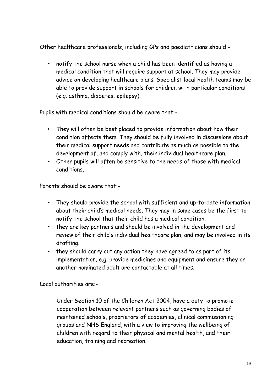Other healthcare professionals, including GPs and paediatricians should:-

• notify the school nurse when a child has been identified as having a medical condition that will require support at school. They may provide advice on developing healthcare plans. Specialist local health teams may be able to provide support in schools for children with particular conditions (e.g. asthma, diabetes, epilepsy).

Pupils with medical conditions should be aware that:-

- They will often be best placed to provide information about how their condition affects them. They should be fully involved in discussions about their medical support needs and contribute as much as possible to the development of, and comply with, their individual healthcare plan.
- Other pupils will often be sensitive to the needs of those with medical conditions.

Parents should be aware that:-

- They should provide the school with sufficient and up-to-date information about their child's medical needs. They may in some cases be the first to notify the school that their child has a medical condition.
- they are key partners and should be involved in the development and review of their child's individual healthcare plan, and may be involved in its drafting.
- they should carry out any action they have agreed to as part of its implementation, e.g. provide medicines and equipment and ensure they or another nominated adult are contactable at all times.

Local authorities are:-

Under Section 10 of the Children Act 2004, have a duty to promote cooperation between relevant partners such as governing bodies of maintained schools, proprietors of academies, clinical commissioning groups and NHS England, with a view to improving the wellbeing of children with regard to their physical and mental health, and their education, training and recreation.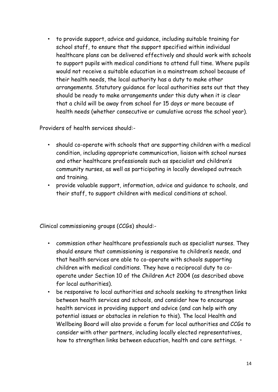• to provide support, advice and guidance, including suitable training for school staff, to ensure that the support specified within individual healthcare plans can be delivered effectively and should work with schools to support pupils with medical conditions to attend full time. Where pupils would not receive a suitable education in a mainstream school because of their health needs, the local authority has a duty to make other arrangements. Statutory guidance for local authorities sets out that they should be ready to make arrangements under this duty when it is clear that a child will be away from school for 15 days or more because of health needs (whether consecutive or cumulative across the school year).

Providers of health services should:-

- should co-operate with schools that are supporting children with a medical condition, including appropriate communication, liaison with school nurses and other healthcare professionals such as specialist and children's community nurses, as well as participating in locally developed outreach and training.
- provide valuable support, information, advice and guidance to schools, and their staff, to support children with medical conditions at school.

Clinical commissioning groups (CCGs) should:-

- commission other healthcare professionals such as specialist nurses. They should ensure that commissioning is responsive to children's needs, and that health services are able to co-operate with schools supporting children with medical conditions. They have a reciprocal duty to cooperate under Section 10 of the Children Act 2004 (as described above for local authorities).
- be responsive to local authorities and schools seeking to strengthen links between health services and schools, and consider how to encourage health services in providing support and advice (and can help with any potential issues or obstacles in relation to this). The local Health and Wellbeing Board will also provide a forum for local authorities and CCGs to consider with other partners, including locally elected representatives, how to strengthen links between education, health and care settings.  $\cdot$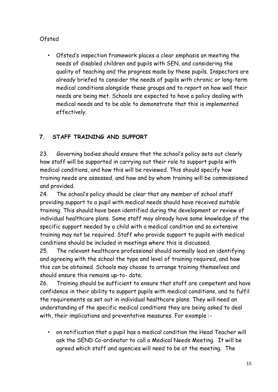## Ofsted

• Ofsted's inspection framework places a clear emphasis on meeting the needs of disabled children and pupils with SEN, and considering the quality of teaching and the progress made by these pupils. Inspectors are already briefed to consider the needs of pupils with chronic or long-term medical conditions alongside these groups and to report on how well their needs are being met. Schools are expected to have a policy dealing with medical needs and to be able to demonstrate that this is implemented effectively.

## **7. STAFF TRAINING AND SUPPORT**

23. Governing bodies should ensure that the school's policy sets out clearly how staff will be supported in carrying out their role to support pupils with medical conditions, and how this will be reviewed. This should specify how training needs are assessed, and how and by whom training will be commissioned and provided.

24. The school's policy should be clear that any member of school staff providing support to a pupil with medical needs should have received suitable training. This should have been identified during the development or review of individual healthcare plans. Some staff may already have some knowledge of the specific support needed by a child with a medical condition and so extensive training may not be required. Staff who provide support to pupils with medical conditions should be included in meetings where this is discussed.

25. The relevant healthcare professional should normally lead on identifying and agreeing with the school the type and level of training required, and how this can be obtained. Schools may choose to arrange training themselves and should ensure this remains up-to- date.

26. Training should be sufficient to ensure that staff are competent and have confidence in their ability to support pupils with medical conditions, and to fulfil the requirements as set out in individual healthcare plans. They will need an understanding of the specific medical conditions they are being asked to deal with, their implications and preventative measures. For example :-

• on notification that a pupil has a medical condition the Head Teacher will ask the SEND Co-ordinator to call a Medical Needs Meeting. It will be agreed which staff and agencies will need to be at the meeting. The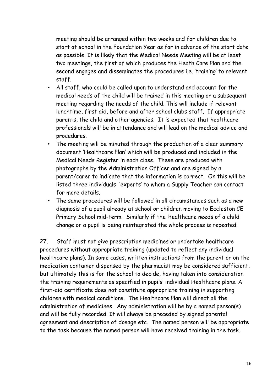meeting should be arranged within two weeks and for children due to start at school in the Foundation Year as far in advance of the start date as possible. It is likely that the Medical Needs Meeting will be at least two meetings, the first of which produces the Heath Care Plan and the second engages and disseminates the procedures i.e. 'training' to relevant staff.

- All staff, who could be called upon to understand and account for the medical needs of the child will be trained in this meeting or a subsequent meeting regarding the needs of the child. This will include if relevant lunchtime, first aid, before and after school clubs staff. If appropriate parents, the child and other agencies. It is expected that healthcare professionals will be in attendance and will lead on the medical advice and procedures.
- The meeting will be minuted through the production of a clear summary document 'Healthcare Plan' which will be produced and included in the Medical Needs Register in each class. These are produced with photographs by the Administration Officer and are signed by a parent/carer to indicate that the information is correct. On this will be listed three individuals 'experts' to whom a Supply Teacher can contact for more details.
- The same procedures will be followed in all circumstances such as a new diagnosis of a pupil already at school or children moving to Eccleston CE Primary School mid-term. Similarly if the Healthcare needs of a child change or a pupil is being reintegrated the whole process is repeated.

27. Staff must not give prescription medicines or undertake healthcare procedures without appropriate training (updated to reflect any individual healthcare plans). In some cases, written instructions from the parent or on the medication container dispensed by the pharmacist may be considered sufficient, but ultimately this is for the school to decide, having taken into consideration the training requirements as specified in pupils' individual Healthcare plans. A first-aid certificate does not constitute appropriate training in supporting children with medical conditions. The Healthcare Plan will direct all the administration of medicines. Any administration will be by a named person(s) and will be fully recorded. It will always be preceded by signed parental agreement and description of dosage etc. The named person will be appropriate to the task because the named person will have received training in the task.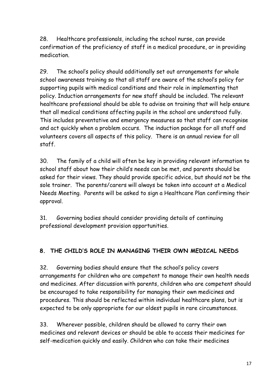28. Healthcare professionals, including the school nurse, can provide confirmation of the proficiency of staff in a medical procedure, or in providing medication.

29. The school's policy should additionally set out arrangements for whole school awareness training so that all staff are aware of the school's policy for supporting pupils with medical conditions and their role in implementing that policy. Induction arrangements for new staff should be included. The relevant healthcare professional should be able to advise on training that will help ensure that all medical conditions affecting pupils in the school are understood fully. This includes preventative and emergency measures so that staff can recognise and act quickly when a problem occurs. The induction package for all staff and volunteers covers all aspects of this policy. There is an annual review for all staff.

30. The family of a child will often be key in providing relevant information to school staff about how their child's needs can be met, and parents should be asked for their views. They should provide specific advice, but should not be the sole trainer. The parents/carers will always be taken into account at a Medical Needs Meeting. Parents will be asked to sign a Healthcare Plan confirming their approval.

31. Governing bodies should consider providing details of continuing professional development provision opportunities.

## **8. THE CHILD'S ROLE IN MANAGING THEIR OWN MEDICAL NEEDS**

32. Governing bodies should ensure that the school's policy covers arrangements for children who are competent to manage their own health needs and medicines. After discussion with parents, children who are competent should be encouraged to take responsibility for managing their own medicines and procedures. This should be reflected within individual healthcare plans, but is expected to be only appropriate for our oldest pupils in rare circumstances.

33. Wherever possible, children should be allowed to carry their own medicines and relevant devices or should be able to access their medicines for self-medication quickly and easily. Children who can take their medicines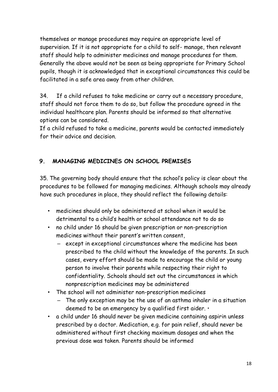themselves or manage procedures may require an appropriate level of supervision. If it is not appropriate for a child to self- manage, then relevant staff should help to administer medicines and manage procedures for them. Generally the above would not be seen as being appropriate for Primary School pupils, though it is acknowledged that in exceptional circumstances this could be facilitated in a safe area away from other children.

34. If a child refuses to take medicine or carry out a necessary procedure, staff should not force them to do so, but follow the procedure agreed in the individual healthcare plan. Parents should be informed so that alternative options can be considered.

If a child refused to take a medicine, parents would be contacted immediately for their advice and decision.

## **9. MANAGING MEDICINES ON SCHOOL PREMISES**

35. The governing body should ensure that the school's policy is clear about the procedures to be followed for managing medicines. Although schools may already have such procedures in place, they should reflect the following details:

- medicines should only be administered at school when it would be detrimental to a child's health or school attendance not to do so
- no child under 16 should be given prescription or non-prescription medicines without their parent's written consent,
	- except in exceptional circumstances where the medicine has been prescribed to the child without the knowledge of the parents. In such cases, every effort should be made to encourage the child or young person to involve their parents while respecting their right to confidentiality. Schools should set out the circumstances in which nonprescription medicines may be administered
- The school will not administer non-prescription medicines
	- The only exception may be the use of an asthma inhaler in a situation deemed to be an emergency by a qualified first aider. •
- a child under 16 should never be given medicine containing aspirin unless prescribed by a doctor. Medication, e.g. for pain relief, should never be administered without first checking maximum dosages and when the previous dose was taken. Parents should be informed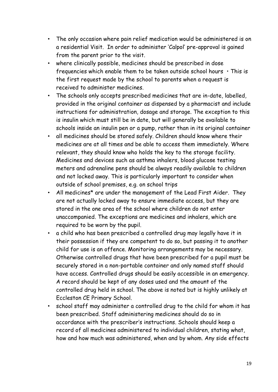- The only occasion where pain relief medication would be administered is on a residential Visit. In order to administer 'Calpol' pre-approval is gained from the parent prior to the visit.
- where clinically possible, medicines should be prescribed in dose frequencies which enable them to be taken outside school hours • This is the first request made by the school to parents when a request is received to administer medicines.
- The schools only accepts prescribed medicines that are in-date, labelled, provided in the original container as dispensed by a pharmacist and include instructions for administration, dosage and storage. The exception to this is insulin which must still be in date, but will generally be available to schools inside an insulin pen or a pump, rather than in its original container
- all medicines should be stored safely. Children should know where their medicines are at all times and be able to access them immediately. Where relevant, they should know who holds the key to the storage facility. Medicines and devices such as asthma inhalers, blood glucose testing meters and adrenaline pens should be always readily available to children and not locked away. This is particularly important to consider when outside of school premises, e.g. on school trips
- All medicines<sup>\*</sup> are under the management of the Lead First Aider. They are not actually locked away to ensure immediate access, but they are stored in the one area of the school where children do not enter unaccompanied. The exceptions are medicines and inhalers, which are required to be worn by the pupil.
- a child who has been prescribed a controlled drug may legally have it in their possession if they are competent to do so, but passing it to another child for use is an offence. Monitoring arrangements may be necessary. Otherwise controlled drugs that have been prescribed for a pupil must be securely stored in a non-portable container and only named staff should have access. Controlled drugs should be easily accessible in an emergency. A record should be kept of any doses used and the amount of the controlled drug held in school. The above is noted but is highly unlikely at Eccleston CE Primary School.
- school staff may administer a controlled drug to the child for whom it has been prescribed. Staff administering medicines should do so in accordance with the prescriber's instructions. Schools should keep a record of all medicines administered to individual children, stating what, how and how much was administered, when and by whom. Any side effects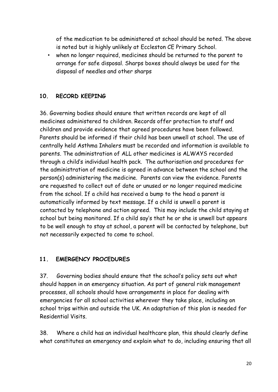of the medication to be administered at school should be noted. The above is noted but is highly unlikely at Eccleston CE Primary School.

• when no longer required, medicines should be returned to the parent to arrange for safe disposal. Sharps boxes should always be used for the disposal of needles and other sharps

## **10. RECORD KEEPING**

36. Governing bodies should ensure that written records are kept of all medicines administered to children. Records offer protection to staff and children and provide evidence that agreed procedures have been followed. Parents should be informed if their child has been unwell at school. The use of centrally held Asthma Inhalers must be recorded and information is available to parents. The administration of ALL other medicines is ALWAYS recorded through a child's individual health pack. The authorisation and procedures for the administration of medicine is agreed in advance between the school and the person(s) administering the medicine. Parents can view the evidence. Parents are requested to collect out of date or unused or no longer required medicine from the school. If a child has received a bump to the head a parent is automatically informed by text message. If a child is unwell a parent is contacted by telephone and action agreed. This may include the child staying at school but being monitored. If a child say's that he or she is unwell but appears to be well enough to stay at school, a parent will be contacted by telephone, but not necessarily expected to come to school.

#### **11. EMERGENCY PROCEDURES**

37. Governing bodies should ensure that the school's policy sets out what should happen in an emergency situation. As part of general risk management processes, all schools should have arrangements in place for dealing with emergencies for all school activities wherever they take place, including on school trips within and outside the UK. An adaptation of this plan is needed for Residential Visits.

38. Where a child has an individual healthcare plan, this should clearly define what constitutes an emergency and explain what to do, including ensuring that all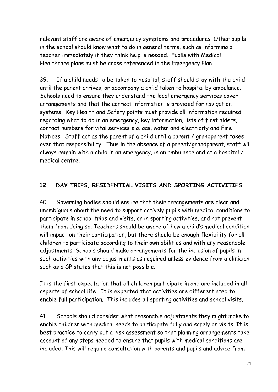relevant staff are aware of emergency symptoms and procedures. Other pupils in the school should know what to do in general terms, such as informing a teacher immediately if they think help is needed. Pupils with Medical Healthcare plans must be cross referenced in the Emergency Plan.

39. If a child needs to be taken to hospital, staff should stay with the child until the parent arrives, or accompany a child taken to hospital by ambulance. Schools need to ensure they understand the local emergency services cover arrangements and that the correct information is provided for navigation systems. Key Health and Safety points must provide all information required regarding what to do in an emergency, key information, lists of first aiders, contact numbers for vital services e.g. gas, water and electricity and Fire Notices. Staff act as the parent of a child until a parent / grandparent takes over that responsibility. Thus in the absence of a parent/grandparent, staff will always remain with a child in an emergency, in an ambulance and at a hospital / medical centre.

## **12. DAY TRIPS, RESIDENTIAL VISITS AND SPORTING ACTIVITIES**

40. Governing bodies should ensure that their arrangements are clear and unambiguous about the need to support actively pupils with medical conditions to participate in school trips and visits, or in sporting activities, and not prevent them from doing so. Teachers should be aware of how a child's medical condition will impact on their participation, but there should be enough flexibility for all children to participate according to their own abilities and with any reasonable adjustments. Schools should make arrangements for the inclusion of pupils in such activities with any adjustments as required unless evidence from a clinician such as a GP states that this is not possible.

It is the first expectation that all children participate in and are included in all aspects of school life. It is expected that activities are differentiated to enable full participation. This includes all sporting activities and school visits.

41. Schools should consider what reasonable adjustments they might make to enable children with medical needs to participate fully and safely on visits. It is best practice to carry out a risk assessment so that planning arrangements take account of any steps needed to ensure that pupils with medical conditions are included. This will require consultation with parents and pupils and advice from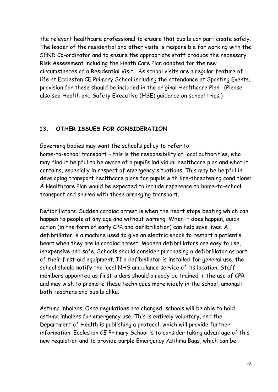the relevant healthcare professional to ensure that pupils can participate safely. The leader of the residential and other visits is responsible for working with the SEND Co-ordinator and to ensure the appropriate staff produce the necessary Risk Assessment including the Heath Care Plan adapted for the new circumstances of a Residential Visit. As school visits are a regular feature of life at Eccleston CE Primary School including the attendance at Sporting Events, provision for these should be included in the original Healthcare Plan. (Please also see Health and Safety Executive (HSE) guidance on school trips.)

## **13. OTHER ISSUES FOR CONSIDERATION**

Governing bodies may want the school's policy to refer to: home-to-school transport – this is the responsibility of local authorities, who may find it helpful to be aware of a pupil's individual healthcare plan and what it contains, especially in respect of emergency situations. This may be helpful in developing transport healthcare plans for pupils with life-threatening conditions; A Healthcare Plan would be expected to include reference to home-to-school transport and shared with those arranging transport.

Defibrillators. Sudden cardiac arrest is when the heart stops beating which can happen to people at any age and without warning. When it does happen, quick action (in the form of early CPR and defibrillation) can help save lives. A defibrillator is a machine used to give an electric shock to restart a patient's heart when they are in cardiac arrest. Modern defibrillators are easy to use, inexpensive and safe. Schools should consider purchasing a defibrillator as part of their first-aid equipment. If a defibrillator is installed for general use, the school should notify the local NHS ambulance service of its location. Staff members appointed as first-aiders should already be trained in the use of CPR and may wish to promote these techniques more widely in the school, amongst both teachers and pupils alike;

Asthma inhalers. Once regulations are changed, schools will be able to hold asthma inhalers for emergency use. This is entirely voluntary, and the Department of Health is publishing a protocol, which will provide further information. Eccleston CE Primary School is to consider taking advantage of this new regulation and to provide purple Emergency Asthma Bags, which can be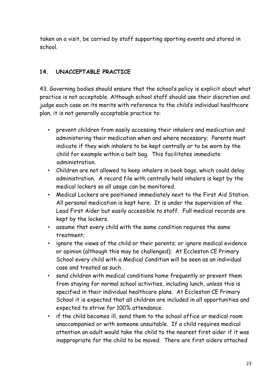taken on a visit, be carried by staff supporting sporting events and stored in school.

## **14. UNACCEPTABLE PRACTICE**

43. Governing bodies should ensure that the school's policy is explicit about what practice is not acceptable. Although school staff should use their discretion and judge each case on its merits with reference to the child's individual healthcare plan, it is not generally acceptable practice to:

- prevent children from easily accessing their inhalers and medication and administering their medication when and where necessary; Parents must indicate if they wish inhalers to be kept centrally or to be worn by the child for example within a belt bag. This facilitates immediate administration.
- Children are not allowed to keep inhalers in book bags, which could delay administration. A record file with centrally held inhalers is kept by the medical lockers so all usage can be monitored.
- Medical Lockers are positioned immediately next to the First Aid Station. All personal medication is kept here. It is under the supervision of the Lead First Aider but easily accessible to staff. Full medical records are kept by the lockers.
- assume that every child with the same condition requires the same treatment;
- ignore the views of the child or their parents; or ignore medical evidence or opinion (although this may be challenged); At Eccleston CE Primary School every child with a Medical Condition will be seen as an individual case and treated as such.
- send children with medical conditions home frequently or prevent them from staying for normal school activities, including lunch, unless this is specified in their individual healthcare plans. At Eccleston CE Primary School it is expected that all children are included in all opportunities and expected to strive for 100% attendance.
- if the child becomes ill, send them to the school office or medical room unaccompanied or with someone unsuitable. If a child requires medical attention an adult would take the child to the nearest first aider if it was inappropriate for the child to be moved. There are first aiders attached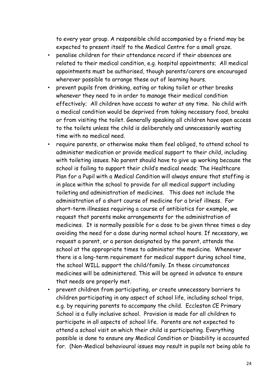to every year group. A responsible child accompanied by a friend may be expected to present itself to the Medical Centre for a small graze.

- penalise children for their attendance record if their absences are related to their medical condition, e.g. hospital appointments; All medical appointments must be authorised, though parents/carers are encouraged wherever possible to arrange these out of learning hours.
- prevent pupils from drinking, eating or taking toilet or other breaks whenever they need to in order to manage their medical condition effectively; All children have access to water at any time. No child with a medical condition would be deprived from taking necessary food, breaks or from visiting the toilet. Generally speaking all children have open access to the toilets unless the child is deliberately and unnecessarily wasting time with no medical need.
- require parents, or otherwise make them feel obliged, to attend school to administer medication or provide medical support to their child, including with toileting issues. No parent should have to give up working because the school is failing to support their child's medical needs; The Healthcare Plan for a Pupil with a Medical Condition will always ensure that staffing is in place within the school to provide for all medical support including toileting and administration of medicines. This does not include the administration of a short course of medicine for a brief illness. For short-term illnesses requiring a course of antibiotics for example, we request that parents make arrangements for the administration of medicines. It is normally possible for a dose to be given three times a day avoiding the need for a dose during normal school hours. If necessary, we request a parent, or a person designated by the parent, attends the school at the appropriate times to administer the medicine. Whenever there is a long-term requirement for medical support during school time, the school WILL support the child/family. In these circumstances medicines will be administered. This will be agreed in advance to ensure that needs are properly met.
- prevent children from participating, or create unnecessary barriers to children participating in any aspect of school life, including school trips, e.g. by requiring parents to accompany the child. Eccleston CE Primary School is a fully inclusive school. Provision is made for all children to participate in all aspects of school life. Parents are not expected to attend a school visit on which their child is participating. Everything possible is done to ensure any Medical Condition or Disability is accounted for. (Non-Medical behavioural issues may result in pupils not being able to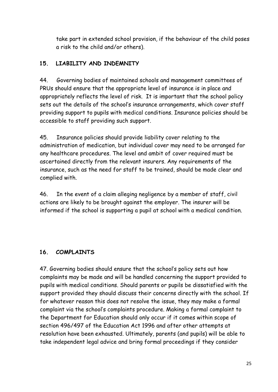take part in extended school provision, if the behaviour of the child poses a risk to the child and/or others).

## **15. LIABILITY AND INDEMNITY**

44. Governing bodies of maintained schools and management committees of PRUs should ensure that the appropriate level of insurance is in place and appropriately reflects the level of risk. It is important that the school policy sets out the details of the school's insurance arrangements, which cover staff providing support to pupils with medical conditions. Insurance policies should be accessible to staff providing such support.

45. Insurance policies should provide liability cover relating to the administration of medication, but individual cover may need to be arranged for any healthcare procedures. The level and ambit of cover required must be ascertained directly from the relevant insurers. Any requirements of the insurance, such as the need for staff to be trained, should be made clear and complied with.

46. In the event of a claim alleging negligence by a member of staff, civil actions are likely to be brought against the employer. The insurer will be informed if the school is supporting a pupil at school with a medical condition.

#### **16. COMPLAINTS**

47. Governing bodies should ensure that the school's policy sets out how complaints may be made and will be handled concerning the support provided to pupils with medical conditions. Should parents or pupils be dissatisfied with the support provided they should discuss their concerns directly with the school. If for whatever reason this does not resolve the issue, they may make a formal complaint via the school's complaints procedure. Making a formal complaint to the Department for Education should only occur if it comes within scope of section 496/497 of the Education Act 1996 and after other attempts at resolution have been exhausted. Ultimately, parents (and pupils) will be able to take independent legal advice and bring formal proceedings if they consider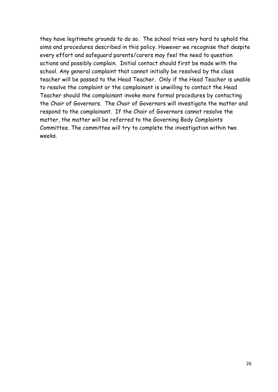they have legitimate grounds to do so. The school tries very hard to uphold the aims and procedures described in this policy. However we recognise that despite every effort and safeguard parents/carers may feel the need to question actions and possibly complain. Initial contact should first be made with the school. Any general complaint that cannot initially be resolved by the class teacher will be passed to the Head Teacher. Only if the Head Teacher is unable to resolve the complaint or the complainant is unwilling to contact the Head Teacher should the complainant invoke more formal procedures by contacting the Chair of Governors. The Chair of Governors will investigate the matter and respond to the complainant. If the Chair of Governors cannot resolve the matter, the matter will be referred to the Governing Body Complaints Committee. The committee will try to complete the investigation within two weeks.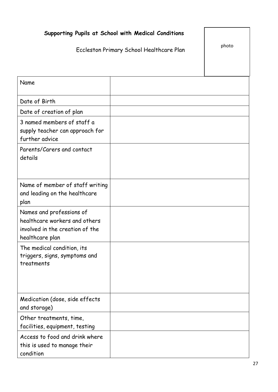| Supporting Pupils at School with Medical Conditions                                                             |                                          |       |
|-----------------------------------------------------------------------------------------------------------------|------------------------------------------|-------|
|                                                                                                                 | Eccleston Primary School Healthcare Plan | photo |
| Name                                                                                                            |                                          |       |
| Date of Birth                                                                                                   |                                          |       |
| Date of creation of plan                                                                                        |                                          |       |
| 3 named members of staff a<br>supply teacher can approach for<br>further advice                                 |                                          |       |
| Parents/Carers and contact<br>details                                                                           |                                          |       |
| Name of member of staff writing<br>and leading on the healthcare<br>plan                                        |                                          |       |
| Names and professions of<br>healthcare workers and others<br>involved in the creation of the<br>healthcare plan |                                          |       |
| The medical condition, its<br>triggers, signs, symptoms and<br>treatments                                       |                                          |       |
| Medication (dose, side effects<br>and storage)                                                                  |                                          |       |
| Other treatments, time,<br>facilities, equipment, testing                                                       |                                          |       |
| Access to food and drink where<br>this is used to manage their<br>condition                                     |                                          |       |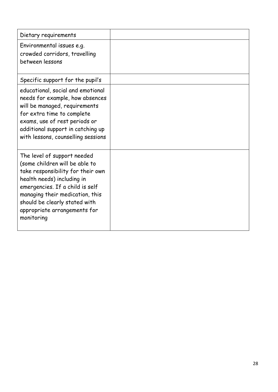| Dietary requirements                                                                                                                                                                                                                                                                  |  |
|---------------------------------------------------------------------------------------------------------------------------------------------------------------------------------------------------------------------------------------------------------------------------------------|--|
| Environmental issues e.g.<br>crowded corridors, travelling<br>between lessons                                                                                                                                                                                                         |  |
| Specific support for the pupil's                                                                                                                                                                                                                                                      |  |
| educational, social and emotional<br>needs for example, how absences<br>will be managed, requirements<br>for extra time to complete<br>exams, use of rest periods or<br>additional support in catching up<br>with lessons, counselling sessions                                       |  |
| The level of support needed<br>(some children will be able to<br>take responsibility for their own<br>health needs) including in<br>emergencies. If a child is self<br>managing their medication, this<br>should be clearly stated with<br>appropriate arrangements for<br>monitoring |  |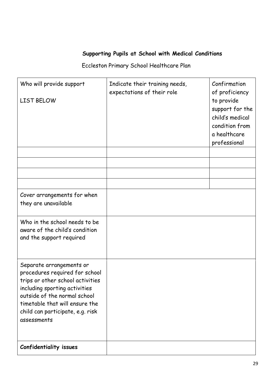## **Supporting Pupils at School with Medical Conditions**

Eccleston Primary School Healthcare Plan

| Who will provide support<br><b>LIST BELOW</b><br>Cover arrangements for when<br>they are unavailable                                                                                                                                                 | Indicate their training needs,<br>expectations of their role | Confirmation<br>of proficiency<br>to provide<br>support for the<br>child's medical<br>condition from<br>a healthcare<br>professional |
|------------------------------------------------------------------------------------------------------------------------------------------------------------------------------------------------------------------------------------------------------|--------------------------------------------------------------|--------------------------------------------------------------------------------------------------------------------------------------|
| Who in the school needs to be<br>aware of the child's condition                                                                                                                                                                                      |                                                              |                                                                                                                                      |
| and the support required                                                                                                                                                                                                                             |                                                              |                                                                                                                                      |
| Separate arrangements or<br>procedures required for school<br>trips or other school activities<br>including sporting activities<br>outside of the normal school<br>timetable that will ensure the<br>child can participate, e.g. risk<br>assessments |                                                              |                                                                                                                                      |
| <b>Confidentiality issues</b>                                                                                                                                                                                                                        |                                                              |                                                                                                                                      |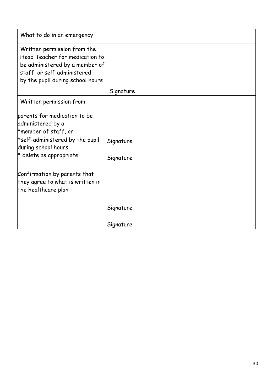| What to do in an emergency                                                                                                                                           |                        |
|----------------------------------------------------------------------------------------------------------------------------------------------------------------------|------------------------|
| Written permission from the<br>Head Teacher for medication to<br>be administered by a member of<br>staff, or self-administered<br>by the pupil during school hours   |                        |
|                                                                                                                                                                      | Signature              |
| Written permission from                                                                                                                                              |                        |
| parents for medication to be<br>administered by a<br>*member of staff, or<br>*self-administered by the pupil<br>during school hours<br>$\star$ delete as appropriate | Signature<br>Signature |
| Confirmation by parents that<br>they agree to what is written in<br>the healthcare plan                                                                              |                        |
|                                                                                                                                                                      | Signature              |
|                                                                                                                                                                      | Signature              |